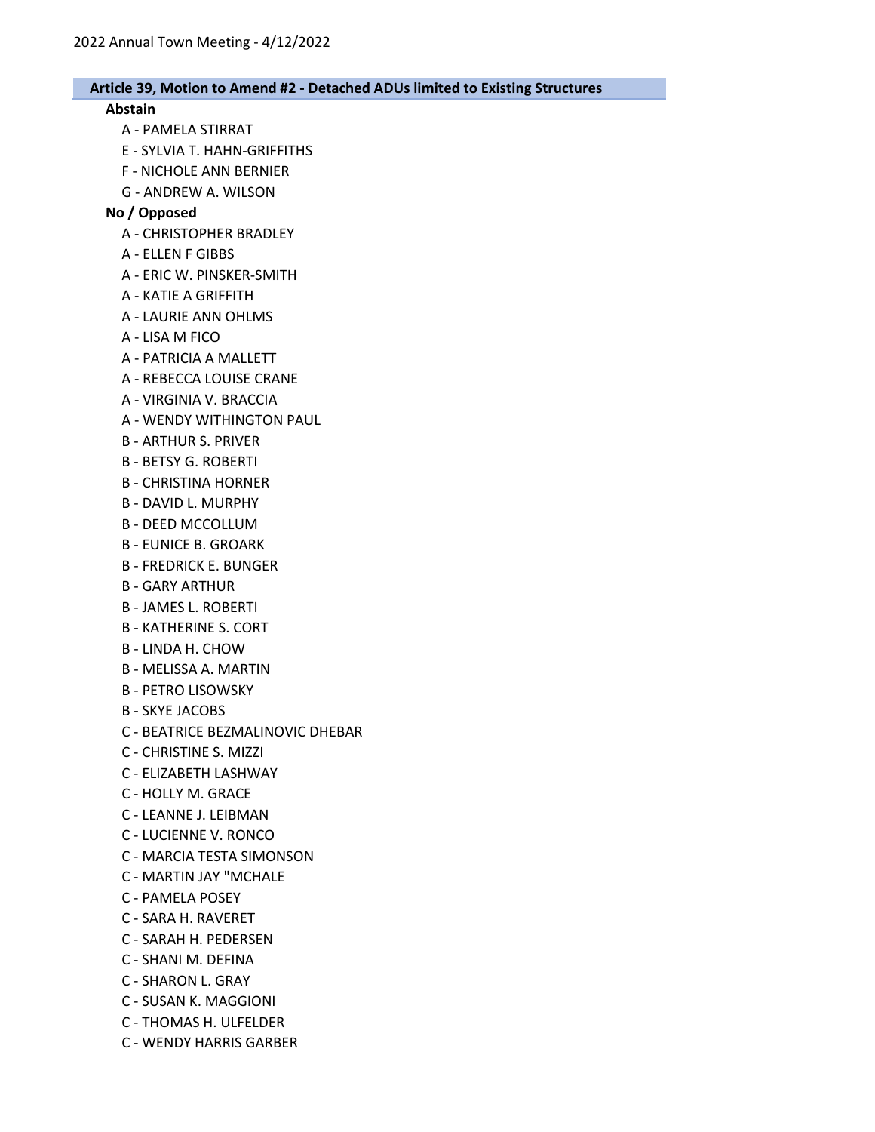#### Abstain

- A PAMELA STIRRAT
- E SYLVIA T. HAHN-GRIFFITHS
- F NICHOLE ANN BERNIER
- G ANDREW A. WILSON

## No / Opposed

- A CHRISTOPHER BRADLEY
- A ELLEN F GIBBS
- A ERIC W. PINSKER-SMITH
- A KATIE A GRIFFITH
- A LAURIE ANN OHLMS
- A LISA M FICO
- A PATRICIA A MALLETT
- A REBECCA LOUISE CRANE
- A VIRGINIA V. BRACCIA
- A WENDY WITHINGTON PAUL
- B ARTHUR S. PRIVER
- B BETSY G. ROBERTI
- B CHRISTINA HORNER
- B DAVID L. MURPHY
- B DEED MCCOLLUM
- B EUNICE B. GROARK
- B FREDRICK E. BUNGER
- B GARY ARTHUR
- B JAMES L. ROBERTI
- B KATHERINE S. CORT
- B LINDA H. CHOW
- B MELISSA A. MARTIN
- B PETRO LISOWSKY
- B SKYE JACOBS
- C BEATRICE BEZMALINOVIC DHEBAR
- C CHRISTINE S. MIZZI
- C ELIZABETH LASHWAY
- C HOLLY M. GRACE
- C LEANNE J. LEIBMAN
- C LUCIENNE V. RONCO
- C MARCIA TESTA SIMONSON
- C MARTIN JAY "MCHALE
- C PAMELA POSEY
- C SARA H. RAVERET
- C SARAH H. PEDERSEN
- C SHANI M. DEFINA
- C SHARON L. GRAY
- C SUSAN K. MAGGIONI
- C THOMAS H. ULFELDER
- C WENDY HARRIS GARBER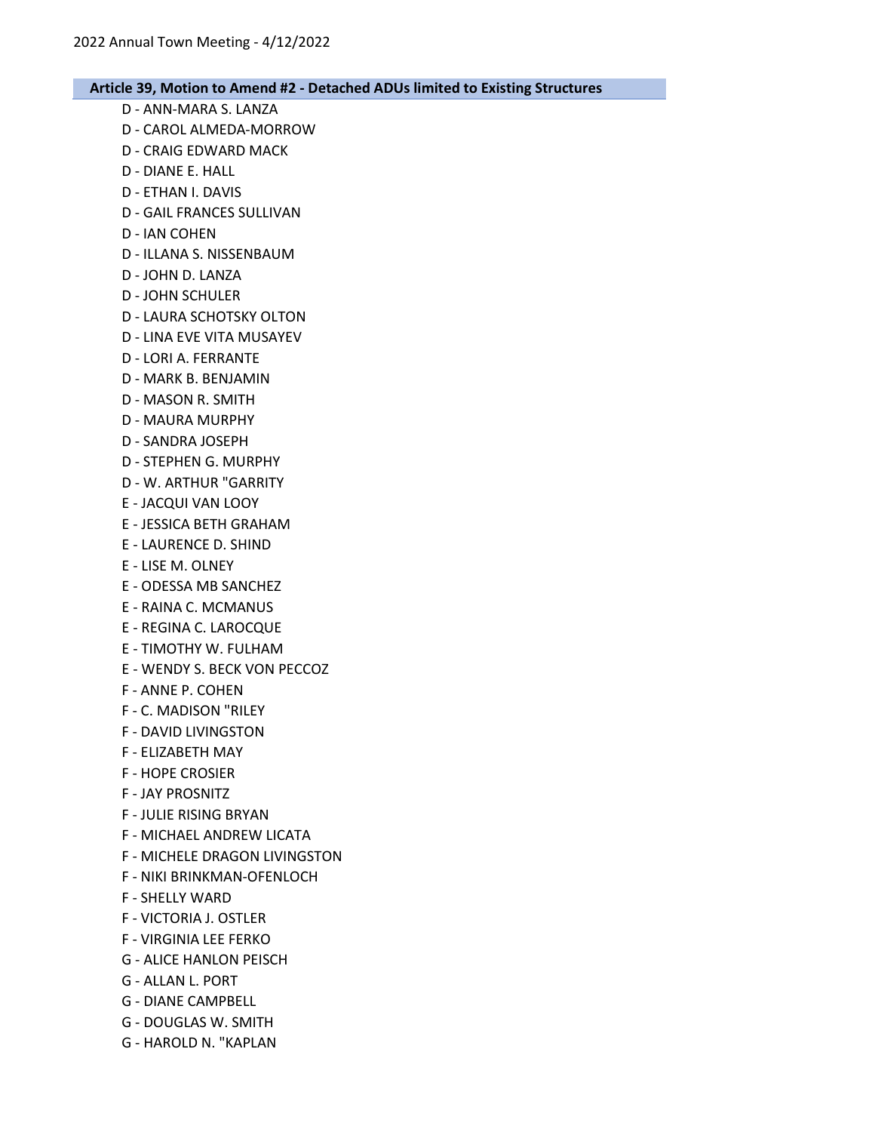- D ANN-MARA S. LANZA
- D CAROL ALMEDA-MORROW
- D CRAIG EDWARD MACK
- D DIANE E. HALL
- D ETHAN I. DAVIS
- D GAIL FRANCES SULLIVAN
- D IAN COHEN
- D ILLANA S. NISSENBAUM
- D JOHN D. LANZA
- D JOHN SCHULER
- D LAURA SCHOTSKY OLTON
- D LINA EVE VITA MUSAYEV
- D LORI A. FERRANTE
- D MARK B. BENJAMIN
- D MASON R. SMITH
- D MAURA MURPHY
- D SANDRA JOSEPH
- D STEPHEN G. MURPHY
- D W. ARTHUR "GARRITY
- E JACQUI VAN LOOY
- E JESSICA BETH GRAHAM
- E LAURENCE D. SHIND
- E LISE M. OLNEY
- E ODESSA MB SANCHEZ
- E RAINA C. MCMANUS
- E REGINA C. LAROCQUE
- E TIMOTHY W. FULHAM
- E WENDY S. BECK VON PECCOZ
- F ANNE P. COHEN
- F C. MADISON "RILEY
- F DAVID LIVINGSTON
- F ELIZABETH MAY
- F HOPE CROSIER
- F JAY PROSNITZ
- F JULIE RISING BRYAN
- F MICHAEL ANDREW LICATA
- F MICHELE DRAGON LIVINGSTON
- F NIKI BRINKMAN-OFENLOCH
- F SHELLY WARD
- F VICTORIA J. OSTLER
- F VIRGINIA LEE FERKO
- G ALICE HANLON PEISCH
- G ALLAN L. PORT
- G DIANE CAMPBELL
- G DOUGLAS W. SMITH
- G HAROLD N. "KAPLAN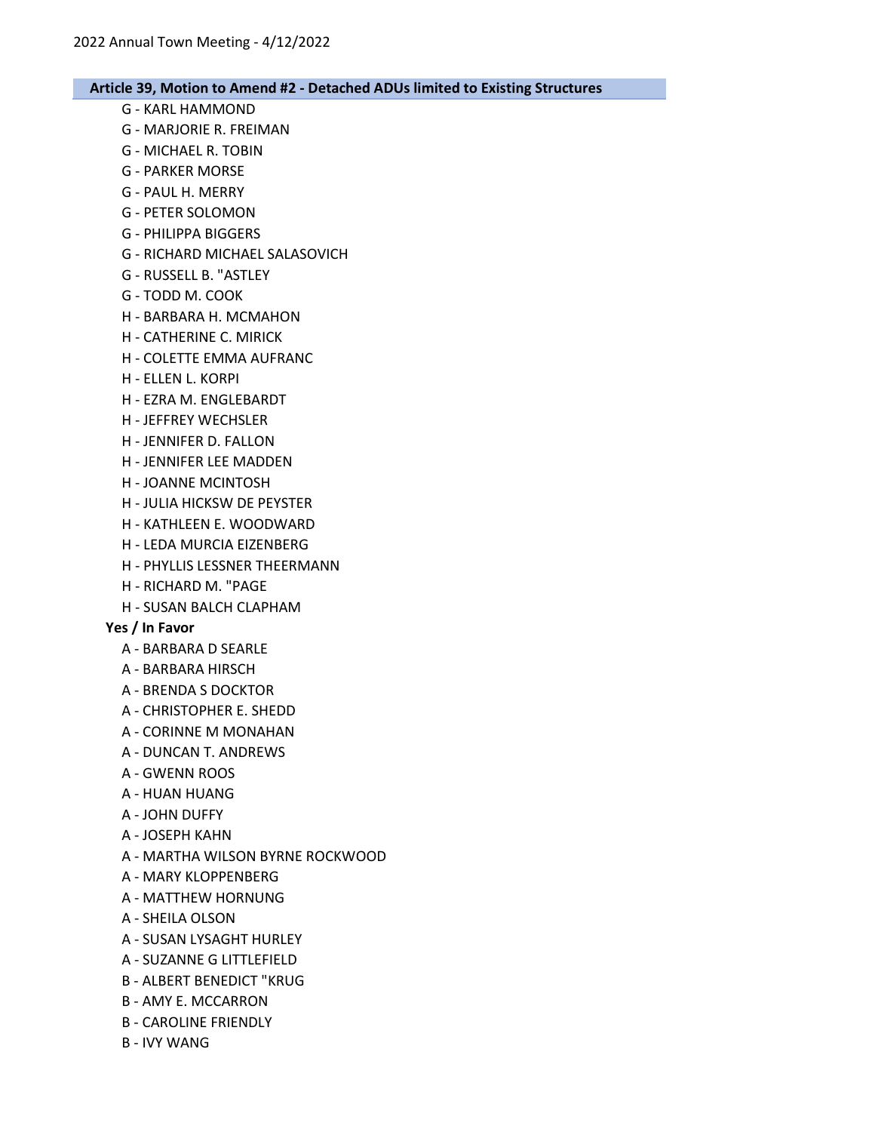- G KARL HAMMOND
- G MARJORIE R. FREIMAN
- G MICHAEL R. TOBIN
- G PARKER MORSE
- G PAUL H. MERRY
- G PETER SOLOMON
- G PHILIPPA BIGGERS
- G RICHARD MICHAEL SALASOVICH
- G RUSSELL B. "ASTLEY
- G TODD M. COOK
- H BARBARA H. MCMAHON
- H CATHERINE C. MIRICK
- H COLETTE EMMA AUFRANC
- H ELLEN L. KORPI
- H EZRA M. ENGLEBARDT
- H JEFFREY WECHSLER
- H JENNIFER D. FALLON
- H JENNIFER LEE MADDEN
- H JOANNE MCINTOSH
- H JULIA HICKSW DE PEYSTER
- H KATHLEEN E. WOODWARD
- H LEDA MURCIA EIZENBERG
- H PHYLLIS LESSNER THEERMANN
- H RICHARD M. "PAGE
- H SUSAN BALCH CLAPHAM

#### Yes / In Favor

- A BARBARA D SEARLE
- A BARBARA HIRSCH
- A BRENDA S DOCKTOR
- A CHRISTOPHER E. SHEDD
- A CORINNE M MONAHAN
- A DUNCAN T. ANDREWS
- A GWENN ROOS
- A HUAN HUANG
- A JOHN DUFFY
- A JOSEPH KAHN
- A MARTHA WILSON BYRNE ROCKWOOD
- A MARY KLOPPENBERG
- A MATTHEW HORNUNG
- A SHEILA OLSON
- A SUSAN LYSAGHT HURLEY
- A SUZANNE G LITTLEFIELD
- B ALBERT BENEDICT "KRUG
- B AMY E. MCCARRON
- B CAROLINE FRIENDLY
- B IVY WANG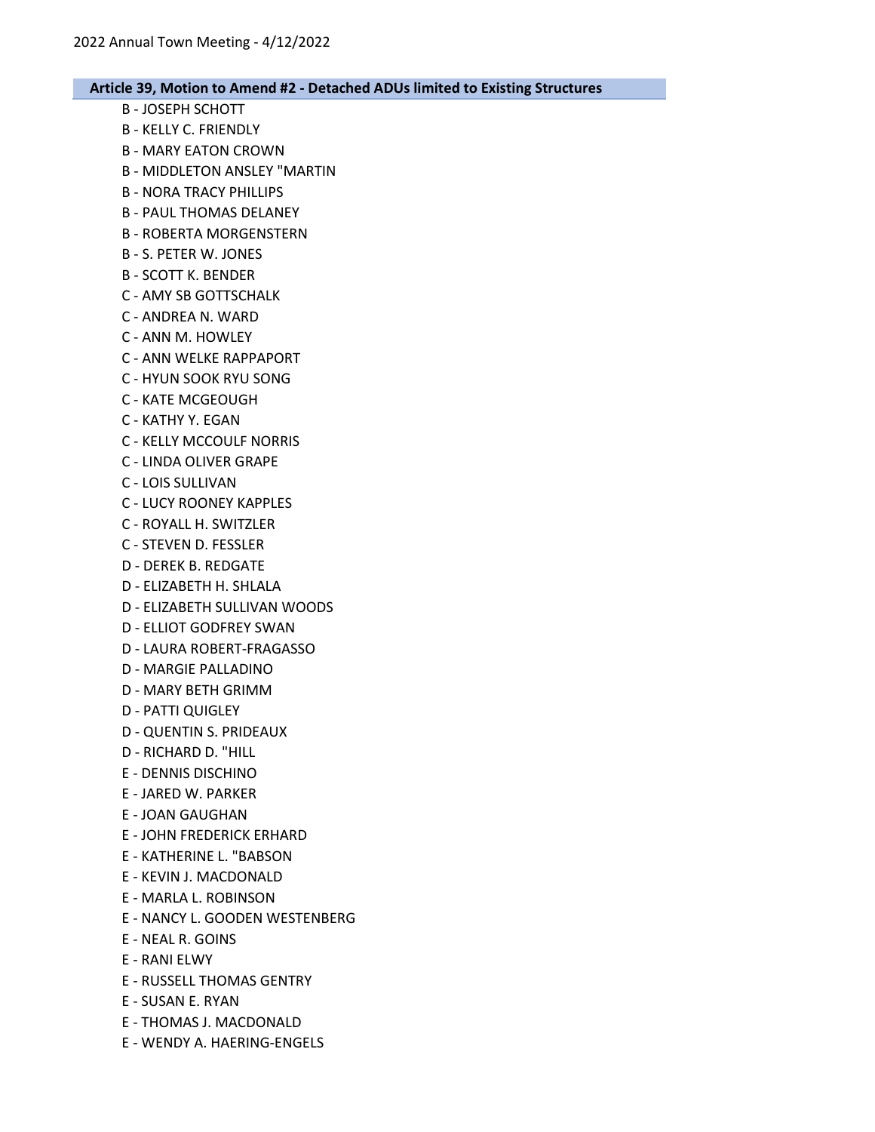- B JOSEPH SCHOTT B - KELLY C. FRIENDLY
- B MARY EATON CROWN
- B MIDDLETON ANSLEY "MARTIN
- B NORA TRACY PHILLIPS
- B PAUL THOMAS DELANEY
- B ROBERTA MORGENSTERN
- B S. PETER W. JONES
- B SCOTT K. BENDER
- C AMY SB GOTTSCHALK
- C ANDREA N. WARD
- C ANN M. HOWLEY
- C ANN WELKE RAPPAPORT
- C HYUN SOOK RYU SONG
- C KATE MCGEOUGH
- C KATHY Y. EGAN
- C KELLY MCCOULF NORRIS
- C LINDA OLIVER GRAPE
- C LOIS SULLIVAN
- C LUCY ROONEY KAPPLES
- C ROYALL H. SWITZLER
- C STEVEN D. FESSLER
- D DEREK B. REDGATE
- D ELIZABETH H. SHLALA
- D ELIZABETH SULLIVAN WOODS
- D ELLIOT GODFREY SWAN
- D LAURA ROBERT-FRAGASSO
- D MARGIE PALLADINO
- D MARY BETH GRIMM
- D PATTI QUIGLEY
- D QUENTIN S. PRIDEAUX
- D RICHARD D. "HILL
- E DENNIS DISCHINO
- E JARED W. PARKER
- E JOAN GAUGHAN
- E JOHN FREDERICK ERHARD
- E KATHERINE L. "BABSON
- E KEVIN J. MACDONALD
- E MARLA L. ROBINSON
- E NANCY L. GOODEN WESTENBERG
- E NEAL R. GOINS
- E RANI ELWY
- E RUSSELL THOMAS GENTRY
- E SUSAN E. RYAN
- E THOMAS J. MACDONALD
- E WENDY A. HAERING-ENGELS